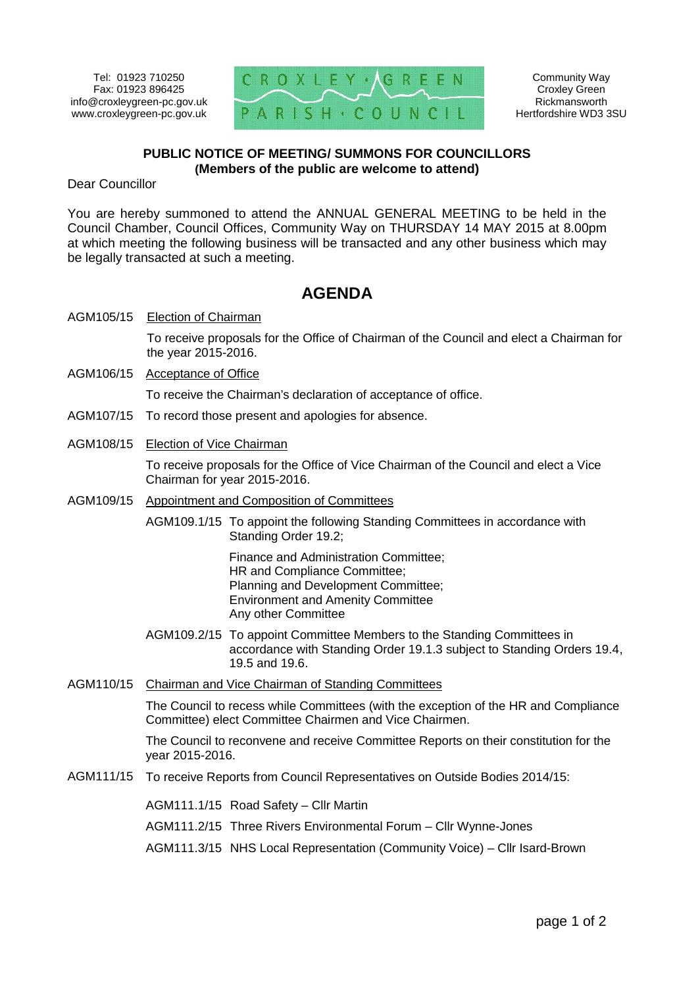Tel: 01923 710250 Fax: 01923 896425 www.croxleygreen-pc.gov.uk



Community Way Croxley Green Rickmansworth Hertfordshire WD3 3SU

# **PUBLIC NOTICE OF MEETING/ SUMMONS FOR COUNCILLORS (Members of the public are welcome to attend)**

Dear Councillor

You are hereby summoned to attend the ANNUAL GENERAL MEETING to be held in the Council Chamber, Council Offices, Community Way on THURSDAY 14 MAY 2015 at 8.00pm at which meeting the following business will be transacted and any other business which may be legally transacted at such a meeting.

# **AGENDA**

AGM105/15 Election of Chairman

To receive proposals for the Office of Chairman of the Council and elect a Chairman for the year 2015-2016.

AGM106/15 Acceptance of Office

To receive the Chairman's declaration of acceptance of office.

- AGM107/15 To record those present and apologies for absence.
- AGM108/15 Election of Vice Chairman

To receive proposals for the Office of Vice Chairman of the Council and elect a Vice Chairman for year 2015-2016.

- AGM109/15 Appointment and Composition of Committees
	- AGM109.1/15 To appoint the following Standing Committees in accordance with Standing Order 19.2;

Finance and Administration Committee; HR and Compliance Committee; Planning and Development Committee; Environment and Amenity Committee Any other Committee

- AGM109.2/15 To appoint Committee Members to the Standing Committees in accordance with Standing Order 19.1.3 subject to Standing Orders 19.4, 19.5 and 19.6.
- AGM110/15 Chairman and Vice Chairman of Standing Committees

The Council to recess while Committees (with the exception of the HR and Compliance Committee) elect Committee Chairmen and Vice Chairmen.

The Council to reconvene and receive Committee Reports on their constitution for the year 2015-2016.

AGM111/15 To receive Reports from Council Representatives on Outside Bodies 2014/15:

AGM111.1/15 Road Safety – Cllr Martin

AGM111.2/15 Three Rivers Environmental Forum – Cllr Wynne-Jones

AGM111.3/15 NHS Local Representation (Community Voice) – Cllr Isard-Brown